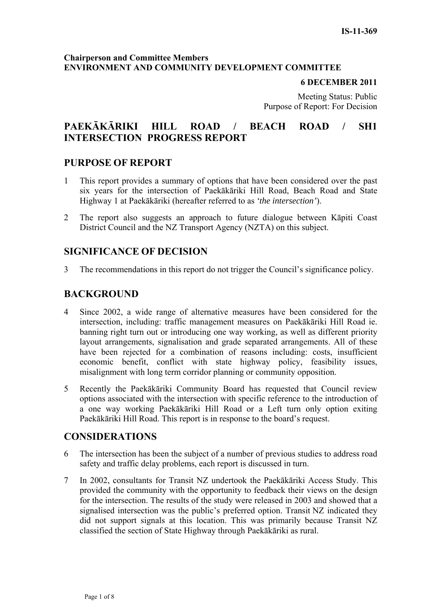#### **Chairperson and Committee Members ENVIRONMENT AND COMMUNITY DEVELOPMENT COMMITTEE**

#### **6 DECEMBER 2011**

Meeting Status: Public Purpose of Report: For Decision

# **PAEKĀKĀRIKI HILL ROAD / BEACH ROAD / SH1 INTERSECTION PROGRESS REPORT**

# **PURPOSE OF REPORT**

- 1 This report provides a summary of options that have been considered over the past six years for the intersection of Paekākāriki Hill Road, Beach Road and State Highway 1 at Paekākāriki (hereafter referred to as *'the intersection'*).
- 2 The report also suggests an approach to future dialogue between Kāpiti Coast District Council and the NZ Transport Agency (NZTA) on this subject.

# **SIGNIFICANCE OF DECISION**

3 The recommendations in this report do not trigger the Council's significance policy.

# **BACKGROUND**

- 4 Since 2002, a wide range of alternative measures have been considered for the intersection, including: traffic management measures on Paekākāriki Hill Road ie. banning right turn out or introducing one way working, as well as different priority layout arrangements, signalisation and grade separated arrangements. All of these have been rejected for a combination of reasons including: costs, insufficient economic benefit, conflict with state highway policy, feasibility issues, misalignment with long term corridor planning or community opposition.
- 5 Recently the Paekākāriki Community Board has requested that Council review options associated with the intersection with specific reference to the introduction of a one way working Paekākāriki Hill Road or a Left turn only option exiting Paekākāriki Hill Road. This report is in response to the board's request.

# **CONSIDERATIONS**

- 6 The intersection has been the subject of a number of previous studies to address road safety and traffic delay problems, each report is discussed in turn.
- 7 In 2002, consultants for Transit NZ undertook the Paekākāriki Access Study. This provided the community with the opportunity to feedback their views on the design for the intersection. The results of the study were released in 2003 and showed that a signalised intersection was the public's preferred option. Transit NZ indicated they did not support signals at this location. This was primarily because Transit NZ classified the section of State Highway through Paekākāriki as rural.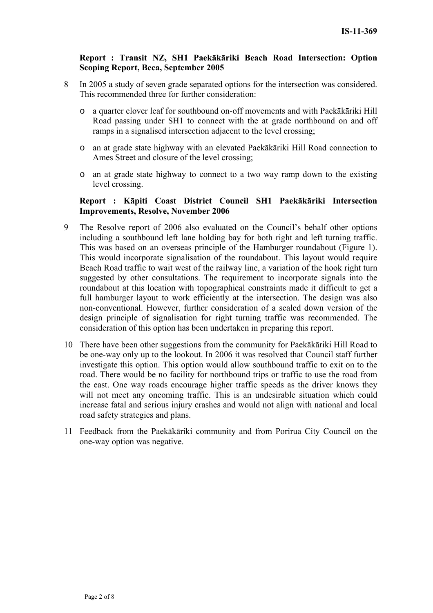#### **Report : Transit NZ, SH1 Paekākāriki Beach Road Intersection: Option Scoping Report, Beca, September 2005**

- 8 In 2005 a study of seven grade separated options for the intersection was considered. This recommended three for further consideration:
	- o a quarter clover leaf for southbound on-off movements and with Paekākāriki Hill Road passing under SH1 to connect with the at grade northbound on and off ramps in a signalised intersection adjacent to the level crossing;
	- o an at grade state highway with an elevated Paekākāriki Hill Road connection to Ames Street and closure of the level crossing;
	- o an at grade state highway to connect to a two way ramp down to the existing level crossing.

#### **Report : Kāpiti Coast District Council SH1 Paekākāriki Intersection Improvements, Resolve, November 2006**

- 9 The Resolve report of 2006 also evaluated on the Council's behalf other options including a southbound left lane holding bay for both right and left turning traffic. This was based on an overseas principle of the Hamburger roundabout (Figure 1). This would incorporate signalisation of the roundabout. This layout would require Beach Road traffic to wait west of the railway line, a variation of the hook right turn suggested by other consultations. The requirement to incorporate signals into the roundabout at this location with topographical constraints made it difficult to get a full hamburger layout to work efficiently at the intersection. The design was also non-conventional. However, further consideration of a scaled down version of the design principle of signalisation for right turning traffic was recommended. The consideration of this option has been undertaken in preparing this report.
- 10 There have been other suggestions from the community for Paekākāriki Hill Road to be one-way only up to the lookout. In 2006 it was resolved that Council staff further investigate this option. This option would allow southbound traffic to exit on to the road. There would be no facility for northbound trips or traffic to use the road from the east. One way roads encourage higher traffic speeds as the driver knows they will not meet any oncoming traffic. This is an undesirable situation which could increase fatal and serious injury crashes and would not align with national and local road safety strategies and plans.
- 11 Feedback from the Paekākāriki community and from Porirua City Council on the one-way option was negative.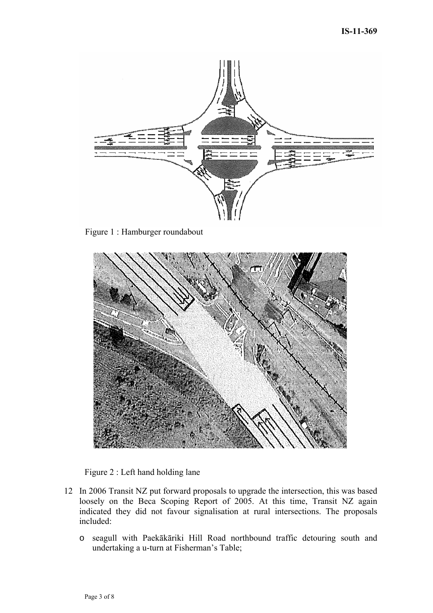

Figure 1 : Hamburger roundabout





- 12 In 2006 Transit NZ put forward proposals to upgrade the intersection, this was based loosely on the Beca Scoping Report of 2005. At this time, Transit NZ again indicated they did not favour signalisation at rural intersections. The proposals included:
	- o seagull with Paekākāriki Hill Road northbound traffic detouring south and undertaking a u-turn at Fisherman's Table;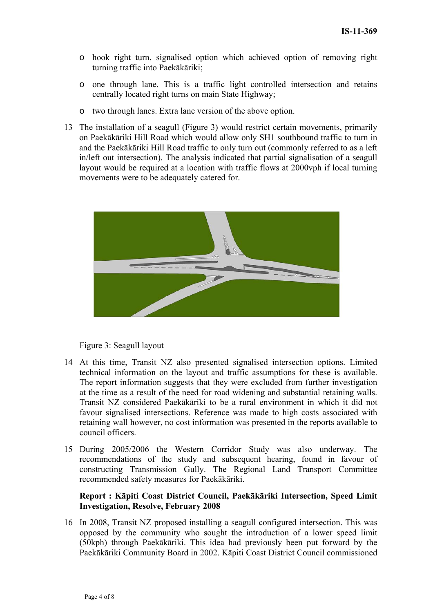- o hook right turn, signalised option which achieved option of removing right turning traffic into Paekākāriki;
- o one through lane. This is a traffic light controlled intersection and retains centrally located right turns on main State Highway;
- o two through lanes. Extra lane version of the above option.
- 13 The installation of a seagull (Figure 3) would restrict certain movements, primarily on Paekākāriki Hill Road which would allow only SH1 southbound traffic to turn in and the Paekākāriki Hill Road traffic to only turn out (commonly referred to as a left in/left out intersection). The analysis indicated that partial signalisation of a seagull layout would be required at a location with traffic flows at 2000vph if local turning movements were to be adequately catered for.



Figure 3: Seagull layout

- 14 At this time, Transit NZ also presented signalised intersection options. Limited technical information on the layout and traffic assumptions for these is available. The report information suggests that they were excluded from further investigation at the time as a result of the need for road widening and substantial retaining walls. Transit NZ considered Paekākāriki to be a rural environment in which it did not favour signalised intersections. Reference was made to high costs associated with retaining wall however, no cost information was presented in the reports available to council officers.
- 15 During 2005/2006 the Western Corridor Study was also underway. The recommendations of the study and subsequent hearing, found in favour of constructing Transmission Gully. The Regional Land Transport Committee recommended safety measures for Paekākāriki.

### **Report : Kāpiti Coast District Council, Paekākāriki Intersection, Speed Limit Investigation, Resolve, February 2008**

16 In 2008, Transit NZ proposed installing a seagull configured intersection. This was opposed by the community who sought the introduction of a lower speed limit (50kph) through Paekākāriki. This idea had previously been put forward by the Paekākāriki Community Board in 2002. Kāpiti Coast District Council commissioned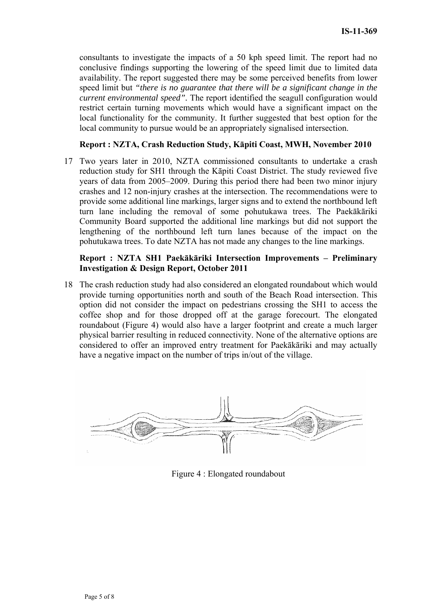consultants to investigate the impacts of a 50 kph speed limit. The report had no conclusive findings supporting the lowering of the speed limit due to limited data availability. The report suggested there may be some perceived benefits from lower speed limit but *"there is no guarantee that there will be a significant change in the current environmental speed".* The report identified the seagull configuration would restrict certain turning movements which would have a significant impact on the local functionality for the community. It further suggested that best option for the local community to pursue would be an appropriately signalised intersection.

#### **Report : NZTA, Crash Reduction Study, Kāpiti Coast, MWH, November 2010**

17 Two years later in 2010, NZTA commissioned consultants to undertake a crash reduction study for SH1 through the Kāpiti Coast District. The study reviewed five years of data from 2005–2009. During this period there had been two minor injury crashes and 12 non-injury crashes at the intersection. The recommendations were to provide some additional line markings, larger signs and to extend the northbound left turn lane including the removal of some pohutukawa trees. The Paekākāriki Community Board supported the additional line markings but did not support the lengthening of the northbound left turn lanes because of the impact on the pohutukawa trees. To date NZTA has not made any changes to the line markings.

#### **Report : NZTA SH1 Paekākāriki Intersection Improvements – Preliminary Investigation & Design Report, October 2011**

18 The crash reduction study had also considered an elongated roundabout which would provide turning opportunities north and south of the Beach Road intersection. This option did not consider the impact on pedestrians crossing the SH1 to access the coffee shop and for those dropped off at the garage forecourt. The elongated roundabout (Figure 4) would also have a larger footprint and create a much larger physical barrier resulting in reduced connectivity. None of the alternative options are considered to offer an improved entry treatment for Paekākāriki and may actually have a negative impact on the number of trips in/out of the village.



Figure 4 : Elongated roundabout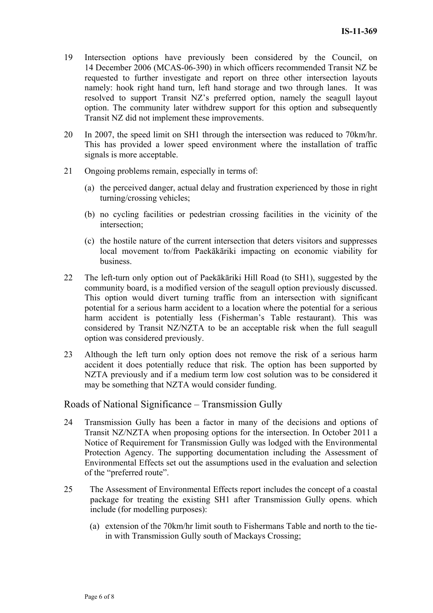- 19 Intersection options have previously been considered by the Council, on 14 December 2006 (MCAS-06-390) in which officers recommended Transit NZ be requested to further investigate and report on three other intersection layouts namely: hook right hand turn, left hand storage and two through lanes. It was resolved to support Transit NZ's preferred option, namely the seagull layout option. The community later withdrew support for this option and subsequently Transit NZ did not implement these improvements.
- 20 In 2007, the speed limit on SH1 through the intersection was reduced to 70km/hr. This has provided a lower speed environment where the installation of traffic signals is more acceptable.
- 21 Ongoing problems remain, especially in terms of:
	- (a) the perceived danger, actual delay and frustration experienced by those in right turning/crossing vehicles;
	- (b) no cycling facilities or pedestrian crossing facilities in the vicinity of the intersection;
	- (c) the hostile nature of the current intersection that deters visitors and suppresses local movement to/from Paekākāriki impacting on economic viability for business.
- 22 The left-turn only option out of Paekākāriki Hill Road (to SH1), suggested by the community board, is a modified version of the seagull option previously discussed. This option would divert turning traffic from an intersection with significant potential for a serious harm accident to a location where the potential for a serious harm accident is potentially less (Fisherman's Table restaurant). This was considered by Transit NZ/NZTA to be an acceptable risk when the full seagull option was considered previously.
- 23 Although the left turn only option does not remove the risk of a serious harm accident it does potentially reduce that risk. The option has been supported by NZTA previously and if a medium term low cost solution was to be considered it may be something that NZTA would consider funding.

#### Roads of National Significance – Transmission Gully

- 24 Transmission Gully has been a factor in many of the decisions and options of Transit NZ/NZTA when proposing options for the intersection. In October 2011 a Notice of Requirement for Transmission Gully was lodged with the Environmental Protection Agency. The supporting documentation including the Assessment of Environmental Effects set out the assumptions used in the evaluation and selection of the "preferred route".
- 25 The Assessment of Environmental Effects report includes the concept of a coastal package for treating the existing SH1 after Transmission Gully opens. which include (for modelling purposes):
	- (a) extension of the 70km/hr limit south to Fishermans Table and north to the tiein with Transmission Gully south of Mackays Crossing;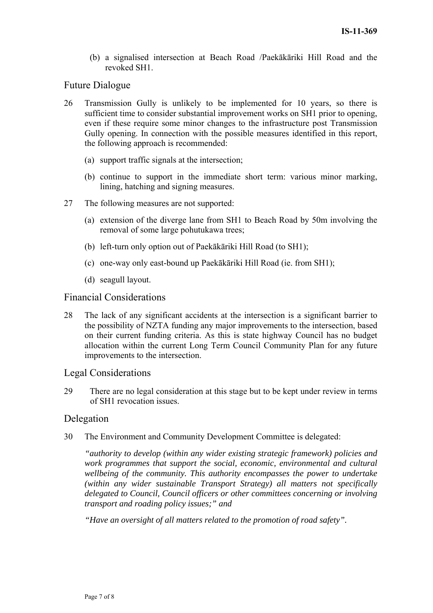(b) a signalised intersection at Beach Road /Paekākāriki Hill Road and the revoked SH1.

## Future Dialogue

- 26 Transmission Gully is unlikely to be implemented for 10 years, so there is sufficient time to consider substantial improvement works on SH1 prior to opening, even if these require some minor changes to the infrastructure post Transmission Gully opening. In connection with the possible measures identified in this report, the following approach is recommended:
	- (a) support traffic signals at the intersection;
	- (b) continue to support in the immediate short term: various minor marking, lining, hatching and signing measures.
- 27 The following measures are not supported:
	- (a) extension of the diverge lane from SH1 to Beach Road by 50m involving the removal of some large pohutukawa trees;
	- (b) left-turn only option out of Paekākāriki Hill Road (to SH1);
	- (c) one-way only east-bound up Paekākāriki Hill Road (ie. from SH1);
	- (d) seagull layout.

### Financial Considerations

28 The lack of any significant accidents at the intersection is a significant barrier to the possibility of NZTA funding any major improvements to the intersection, based on their current funding criteria. As this is state highway Council has no budget allocation within the current Long Term Council Community Plan for any future improvements to the intersection.

### Legal Considerations

29 There are no legal consideration at this stage but to be kept under review in terms of SH1 revocation issues.

### Delegation

30 The Environment and Community Development Committee is delegated:

*"authority to develop (within any wider existing strategic framework) policies and work programmes that support the social, economic, environmental and cultural wellbeing of the community. This authority encompasses the power to undertake (within any wider sustainable Transport Strategy) all matters not specifically delegated to Council, Council officers or other committees concerning or involving transport and roading policy issues;" and* 

*"Have an oversight of all matters related to the promotion of road safety".*